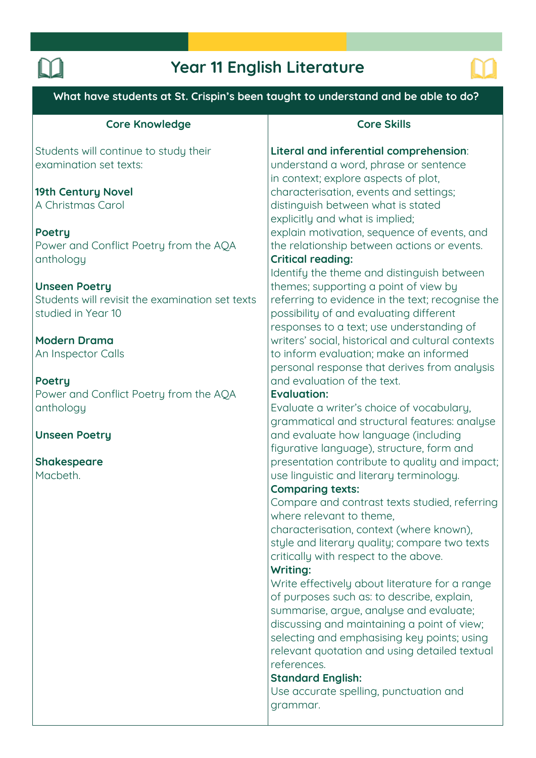# **Year 11 English Literature**



**What have students at St. Crispin's been taught to understand and be able to do? Core Knowledge Students will continue to study their examination set texts: 19th Century Novel A Christmas Carol Poetry Power and Conflict Poetry from the AQA anthology Unseen Poetry Students will revisit the examination set texts studied in Year 10 Modern Drama An Inspector Calls Poetry Power and Conflict Poetry from the AQA anthology Unseen Poetry Shakespeare Macbeth. Core Skills Literal and inferential comprehension: understand a word, phrase or sentence in context; explore aspects of plot, characterisation, events and settings; distinguish between what is stated explicitly and what is implied; explain motivation, sequence of events, and the relationship between actions or events. Critical reading: Identify the theme and distinguish between themes; supporting a point of view by referring to evidence in the text; recognise the possibility of and evaluating different responses to a text; use understanding of writers' social, historical and cultural contexts to inform evaluation; make an informed personal response that derives from analysis and evaluation of the text. Evaluation: Evaluate a writer's choice of vocabulary, grammatical and structural features: analyse and evaluate how language (including figurative language), structure, form and presentation contribute to quality and impact; use linguistic and literary terminology. Comparing texts: Compare and contrast texts studied, referring where relevant to theme, characterisation, context (where known), style and literary quality; compare two texts critically with respect to the above. Writing: Write effectively about literature for a range of purposes such as: to describe, explain, summarise, argue, analyse and evaluate; discussing and maintaining a point of view; selecting and emphasising key points; using relevant quotation and using detailed textual references. Standard English: Use accurate spelling, punctuation and grammar.**